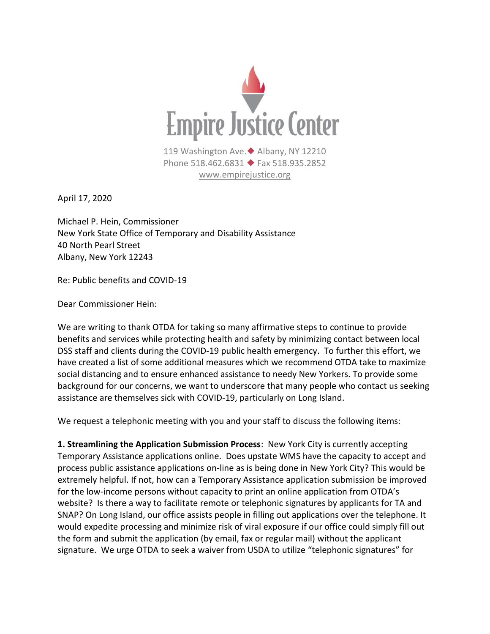

April 17, 2020

Michael P. Hein, Commissioner New York State Office of Temporary and Disability Assistance 40 North Pearl Street Albany, New York 12243

Re: Public benefits and COVID-19

Dear Commissioner Hein:

We are writing to thank OTDA for taking so many affirmative steps to continue to provide benefits and services while protecting health and safety by minimizing contact between local DSS staff and clients during the COVID-19 public health emergency. To further this effort, we have created a list of some additional measures which we recommend OTDA take to maximize social distancing and to ensure enhanced assistance to needy New Yorkers. To provide some background for our concerns, we want to underscore that many people who contact us seeking assistance are themselves sick with COVID-19, particularly on Long Island.

We request a telephonic meeting with you and your staff to discuss the following items:

**1. Streamlining the Application Submission Process**: New York City is currently accepting Temporary Assistance applications online. Does upstate WMS have the capacity to accept and process public assistance applications on-line as is being done in New York City? This would be extremely helpful. If not, how can a Temporary Assistance application submission be improved for the low-income persons without capacity to print an online application from OTDA's website? Is there a way to facilitate remote or telephonic signatures by applicants for TA and SNAP? On Long Island, our office assists people in filling out applications over the telephone. It would expedite processing and minimize risk of viral exposure if our office could simply fill out the form and submit the application (by email, fax or regular mail) without the applicant signature. We urge OTDA to seek a waiver from USDA to utilize "telephonic signatures" for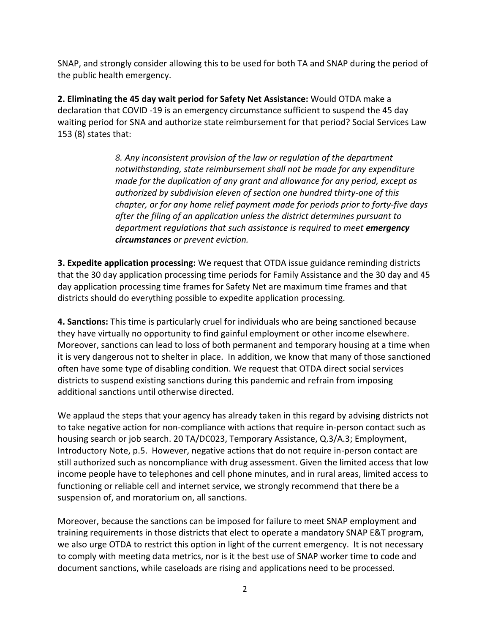SNAP, and strongly consider allowing this to be used for both TA and SNAP during the period of the public health emergency.

**2. Eliminating the 45 day wait period for Safety Net Assistance:** Would OTDA make a declaration that COVID -19 is an emergency circumstance sufficient to suspend the 45 day waiting period for SNA and authorize state reimbursement for that period? Social Services Law 153 (8) states that:

> *8. Any inconsistent provision of the law or regulation of the department notwithstanding, state reimbursement shall not be made for any expenditure made for the duplication of any grant and allowance for any period, except as authorized by [subdivision eleven of section one hundred thirty-one](https://1.next.westlaw.com/Link/Document/FullText?findType=L&pubNum=1000136&cite=NYSVS131&originatingDoc=NBEDABD902FD711E79E73DE9BD41E48D1&refType=SP&originationContext=document&transitionType=DocumentItem&contextData=(sc.DocLink)#co_pp_28cd00004ea65) of this chapter, or for any home relief payment made for periods prior to forty-five days after the filing of an application unless the district determines pursuant to department regulations that such assistance is required to meet emergency circumstances or prevent eviction.*

**3. Expedite application processing:** We request that OTDA issue guidance reminding districts that the 30 day application processing time periods for Family Assistance and the 30 day and 45 day application processing time frames for Safety Net are maximum time frames and that districts should do everything possible to expedite application processing.

**4. Sanctions:** This time is particularly cruel for individuals who are being sanctioned because they have virtually no opportunity to find gainful employment or other income elsewhere. Moreover, sanctions can lead to loss of both permanent and temporary housing at a time when it is very dangerous not to shelter in place. In addition, we know that many of those sanctioned often have some type of disabling condition. We request that OTDA direct social services districts to suspend existing sanctions during this pandemic and refrain from imposing additional sanctions until otherwise directed.

We applaud the steps that your agency has already taken in this regard by advising districts not to take negative action for non-compliance with actions that require in-person contact such as housing search or job search. 20 TA/DC023, Temporary Assistance, Q.3/A.3; Employment, Introductory Note, p.5. However, negative actions that do not require in-person contact are still authorized such as noncompliance with drug assessment. Given the limited access that low income people have to telephones and cell phone minutes, and in rural areas, limited access to functioning or reliable cell and internet service, we strongly recommend that there be a suspension of, and moratorium on, all sanctions.

Moreover, because the sanctions can be imposed for failure to meet SNAP employment and training requirements in those districts that elect to operate a mandatory SNAP E&T program, we also urge OTDA to restrict this option in light of the current emergency. It is not necessary to comply with meeting data metrics, nor is it the best use of SNAP worker time to code and document sanctions, while caseloads are rising and applications need to be processed.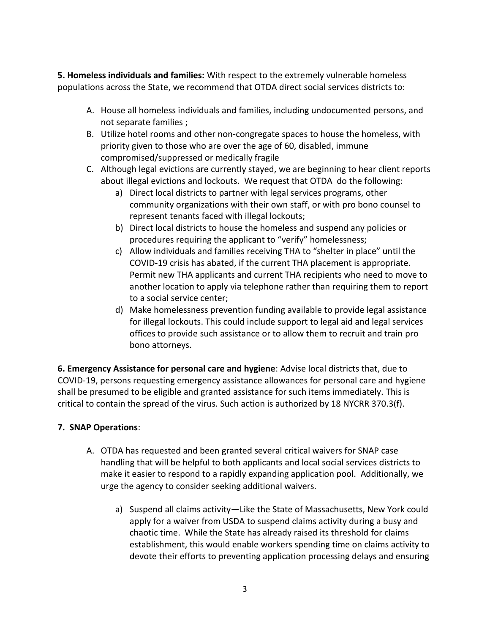**5. Homeless individuals and families:** With respect to the extremely vulnerable homeless populations across the State, we recommend that OTDA direct social services districts to:

- A. House all homeless individuals and families, including undocumented persons, and not separate families ;
- B. Utilize hotel rooms and other non-congregate spaces to house the homeless, with priority given to those who are over the age of 60, disabled, immune compromised/suppressed or medically fragile
- C. Although legal evictions are currently stayed, we are beginning to hear client reports about illegal evictions and lockouts. We request that OTDA do the following:
	- a) Direct local districts to partner with legal services programs, other community organizations with their own staff, or with pro bono counsel to represent tenants faced with illegal lockouts;
	- b) Direct local districts to house the homeless and suspend any policies or procedures requiring the applicant to "verify" homelessness;
	- c) Allow individuals and families receiving THA to "shelter in place" until the COVID-19 crisis has abated, if the current THA placement is appropriate. Permit new THA applicants and current THA recipients who need to move to another location to apply via telephone rather than requiring them to report to a social service center;
	- d) Make homelessness prevention funding available to provide legal assistance for illegal lockouts. This could include support to legal aid and legal services offices to provide such assistance or to allow them to recruit and train pro bono attorneys.

**6. Emergency Assistance for personal care and hygiene**: Advise local districts that, due to COVID-19, persons requesting emergency assistance allowances for personal care and hygiene shall be presumed to be eligible and granted assistance for such items immediately. This is critical to contain the spread of the virus. Such action is authorized by 18 NYCRR 370.3(f).

## **7. SNAP Operations**:

- A. OTDA has requested and been granted several critical waivers for SNAP case handling that will be helpful to both applicants and local social services districts to make it easier to respond to a rapidly expanding application pool. Additionally, we urge the agency to consider seeking additional waivers.
	- a) Suspend all claims activity—Like the State of Massachusetts, New York could apply for a waiver from USDA to suspend claims activity during a busy and chaotic time. While the State has already raised its threshold for claims establishment, this would enable workers spending time on claims activity to devote their efforts to preventing application processing delays and ensuring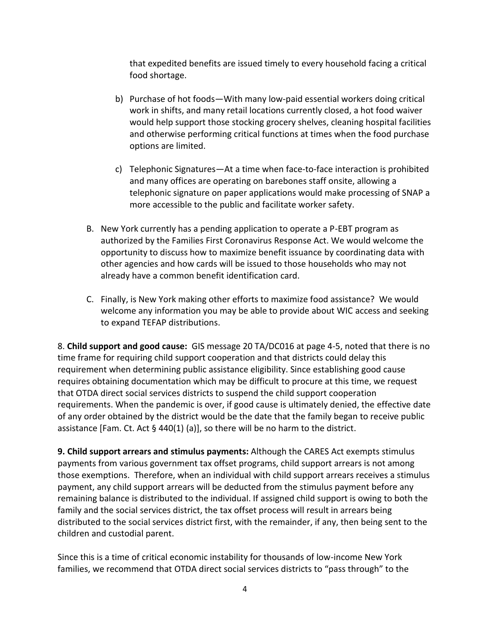that expedited benefits are issued timely to every household facing a critical food shortage.

- b) Purchase of hot foods—With many low-paid essential workers doing critical work in shifts, and many retail locations currently closed, a hot food waiver would help support those stocking grocery shelves, cleaning hospital facilities and otherwise performing critical functions at times when the food purchase options are limited.
- c) Telephonic Signatures—At a time when face-to-face interaction is prohibited and many offices are operating on barebones staff onsite, allowing a telephonic signature on paper applications would make processing of SNAP a more accessible to the public and facilitate worker safety.
- B. New York currently has a pending application to operate a P-EBT program as authorized by the Families First Coronavirus Response Act. We would welcome the opportunity to discuss how to maximize benefit issuance by coordinating data with other agencies and how cards will be issued to those households who may not already have a common benefit identification card.
- C. Finally, is New York making other efforts to maximize food assistance? We would welcome any information you may be able to provide about WIC access and seeking to expand TEFAP distributions.

8. **Child support and good cause:** GIS message 20 TA/DC016 at page 4-5, noted that there is no time frame for requiring child support cooperation and that districts could delay this requirement when determining public assistance eligibility. Since establishing good cause requires obtaining documentation which may be difficult to procure at this time, we request that OTDA direct social services districts to suspend the child support cooperation requirements. When the pandemic is over, if good cause is ultimately denied, the effective date of any order obtained by the district would be the date that the family began to receive public assistance [Fam. Ct. Act § 440(1) (a)], so there will be no harm to the district.

**9. Child support arrears and stimulus payments:** Although the CARES Act exempts stimulus payments from various government tax offset programs, child support arrears is not among those exemptions. Therefore, when an individual with child support arrears receives a stimulus payment, any child support arrears will be deducted from the stimulus payment before any remaining balance is distributed to the individual. If assigned child support is owing to both the family and the social services district, the tax offset process will result in arrears being distributed to the social services district first, with the remainder, if any, then being sent to the children and custodial parent.

Since this is a time of critical economic instability for thousands of low-income New York families, we recommend that OTDA direct social services districts to "pass through" to the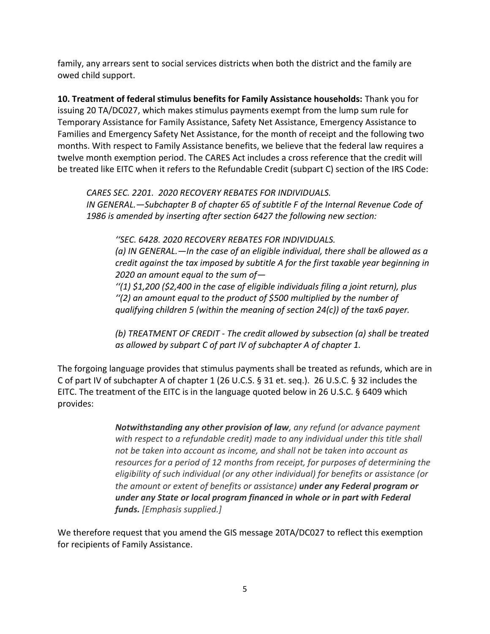family, any arrears sent to social services districts when both the district and the family are owed child support.

**10. Treatment of federal stimulus benefits for Family Assistance households:** Thank you for issuing 20 TA/DC027, which makes stimulus payments exempt from the lump sum rule for Temporary Assistance for Family Assistance, Safety Net Assistance, Emergency Assistance to Families and Emergency Safety Net Assistance, for the month of receipt and the following two months. With respect to Family Assistance benefits, we believe that the federal law requires a twelve month exemption period. The CARES Act includes a cross reference that the credit will be treated like EITC when it refers to the Refundable Credit (subpart C) section of the IRS Code:

*CARES SEC. 2201. 2020 RECOVERY REBATES FOR INDIVIDUALS. IN GENERAL.—Subchapter B of chapter 65 of subtitle F of the Internal Revenue Code of 1986 is amended by inserting after section 6427 the following new section:*

*''SEC. 6428. 2020 RECOVERY REBATES FOR INDIVIDUALS. (a) IN GENERAL.—In the case of an eligible individual, there shall be allowed as a credit against the tax imposed by subtitle A for the first taxable year beginning in 2020 an amount equal to the sum of— ''(1) \$1,200 (\$2,400 in the case of eligible individuals filing a joint return), plus ''(2) an amount equal to the product of \$500 multiplied by the number of* 

*qualifying children 5 (within the meaning of section 24(c)) of the tax6 payer.*

*(b) TREATMENT OF CREDIT - The credit allowed by subsection (a) shall be treated as allowed by subpart C of part IV of subchapter A of chapter 1.*

The forgoing language provides that stimulus payments shall be treated as refunds, which are in C of part IV of subchapter A of chapter 1 (26 U.C.S. § 31 et. seq.). 26 U.S.C. § 32 includes the EITC. The treatment of the EITC is in the language quoted below in 26 U.S.C. § 6409 which provides:

> *Notwithstanding any other provision of law, any refund (or advance payment with respect to a refundable credit) made to any individual under this title shall not be taken into account as income, and shall not be taken into account as resources for a period of 12 months from receipt, for purposes of determining the eligibility of such individual (or any other individual) for benefits or assistance (or the amount or extent of benefits or assistance) under any Federal program or under any State or local program financed in whole or in part with Federal funds. [Emphasis supplied.]*

We therefore request that you amend the GIS message 20TA/DC027 to reflect this exemption for recipients of Family Assistance.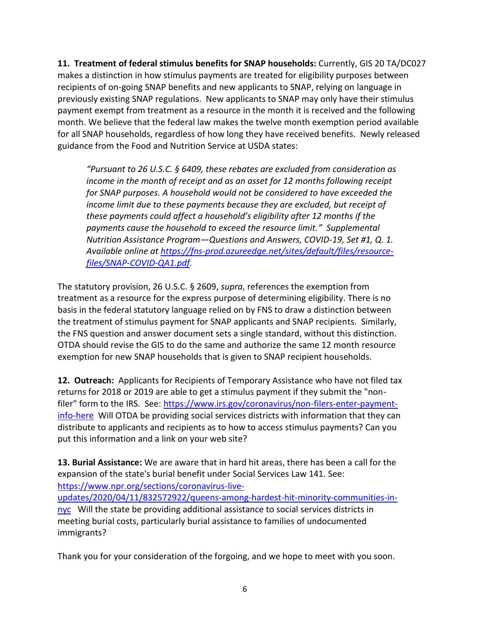**11. Treatment of federal stimulus benefits for SNAP households:** Currently, GIS 20 TA/DC027 makes a distinction in how stimulus payments are treated for eligibility purposes between recipients of on-going SNAP benefits and new applicants to SNAP, relying on language in previously existing SNAP regulations. New applicants to SNAP may only have their stimulus payment exempt from treatment as a resource in the month it is received and the following month. We believe that the federal law makes the twelve month exemption period available for all SNAP households, regardless of how long they have received benefits. Newly released guidance from the Food and Nutrition Service at USDA states:

*"Pursuant to 26 U.S.C. § 6409, these rebates are excluded from consideration as income in the month of receipt and as an asset for 12 months following receipt for SNAP purposes. A household would not be considered to have exceeded the income limit due to these payments because they are excluded, but receipt of these payments could affect a household's eligibility after 12 months if the payments cause the household to exceed the resource limit." Supplemental Nutrition Assistance Program—Questions and Answers, COVID-19, Set #1, Q. 1. Available online at [https://fns-prod.azureedge.net/sites/default/files/resource](https://fns-prod.azureedge.net/sites/default/files/resource-files/SNAP-COVID-QA1.pdf)[files/SNAP-COVID-QA1.pdf.](https://fns-prod.azureedge.net/sites/default/files/resource-files/SNAP-COVID-QA1.pdf)*

The statutory provision, 26 U.S.C. § 2609, *supra*, references the exemption from treatment as a resource for the express purpose of determining eligibility. There is no basis in the federal statutory language relied on by FNS to draw a distinction between the treatment of stimulus payment for SNAP applicants and SNAP recipients. Similarly, the FNS question and answer document sets a single standard, without this distinction. OTDA should revise the GIS to do the same and authorize the same 12 month resource exemption for new SNAP households that is given to SNAP recipient households.

**12. Outreach:** Applicants for Recipients of Temporary Assistance who have not filed tax returns for 2018 or 2019 are able to get a stimulus payment if they submit the "nonfiler" form to the IRS. See: [https://www.irs.gov/coronavirus/non-filers-enter-payment](https://www.irs.gov/coronavirus/non-filers-enter-payment-info-here)[info-here](https://www.irs.gov/coronavirus/non-filers-enter-payment-info-here) Will OTDA be providing social services districts with information that they can distribute to applicants and recipients as to how to access stimulus payments? Can you put this information and a link on your web site?

**13. Burial Assistance:** We are aware that in hard hit areas, there has been a call for the expansion of the state's burial benefit under Social Services Law 141. See: [https://www.npr.org/sections/coronavirus-live-](https://www.npr.org/sections/coronavirus-live-updates/2020/04/11/832572922/queens-among-hardest-hit-minority-communities-in-nyc)

[updates/2020/04/11/832572922/queens-among-hardest-hit-minority-communities-in](https://www.npr.org/sections/coronavirus-live-updates/2020/04/11/832572922/queens-among-hardest-hit-minority-communities-in-nyc)[nyc](https://www.npr.org/sections/coronavirus-live-updates/2020/04/11/832572922/queens-among-hardest-hit-minority-communities-in-nyc) Will the state be providing additional assistance to social services districts in meeting burial costs, particularly burial assistance to families of undocumented immigrants?

Thank you for your consideration of the forgoing, and we hope to meet with you soon.